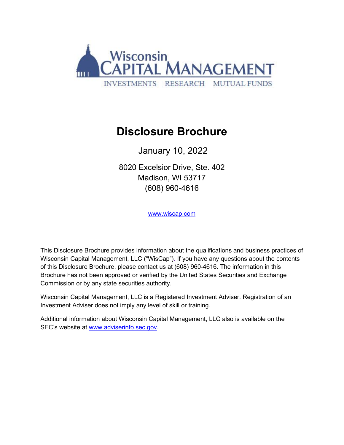

# **Disclosure Brochure**

January 10, 2022

8020 Excelsior Drive, Ste. 402 Madison, WI 53717 (608) 960-4616

[www.wiscap.com](http://www.wiscap.com/)

This Disclosure Brochure provides information about the qualifications and business practices of Wisconsin Capital Management, LLC ("WisCap"). If you have any questions about the contents of this Disclosure Brochure, please contact us at (608) 960-4616. The information in this Brochure has not been approved or verified by the United States Securities and Exchange Commission or by any state securities authority.

Wisconsin Capital Management, LLC is a Registered Investment Adviser. Registration of an Investment Adviser does not imply any level of skill or training.

Additional information about Wisconsin Capital Management, LLC also is available on the SEC's website at [www.adviserinfo.sec.gov.](http://www.adviserinfo.sec.gov/)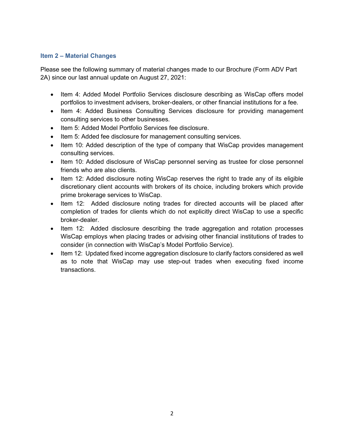## **Item 2 – Material Changes**

Please see the following summary of material changes made to our Brochure (Form ADV Part 2A) since our last annual update on August 27, 2021:

- Item 4: Added Model Portfolio Services disclosure describing as WisCap offers model portfolios to investment advisers, broker-dealers, or other financial institutions for a fee.
- Item 4: Added Business Consulting Services disclosure for providing management consulting services to other businesses.
- Item 5: Added Model Portfolio Services fee disclosure.
- Item 5: Added fee disclosure for management consulting services.
- Item 10: Added description of the type of company that WisCap provides management consulting services.
- Item 10: Added disclosure of WisCap personnel serving as trustee for close personnel friends who are also clients.
- Item 12: Added disclosure noting WisCap reserves the right to trade any of its eligible discretionary client accounts with brokers of its choice, including brokers which provide prime brokerage services to WisCap.
- Item 12: Added disclosure noting trades for directed accounts will be placed after completion of trades for clients which do not explicitly direct WisCap to use a specific broker-dealer.
- Item 12: Added disclosure describing the trade aggregation and rotation processes WisCap employs when placing trades or advising other financial institutions of trades to consider (in connection with WisCap's Model Portfolio Service).
- Item 12: Updated fixed income aggregation disclosure to clarify factors considered as well as to note that WisCap may use step-out trades when executing fixed income transactions.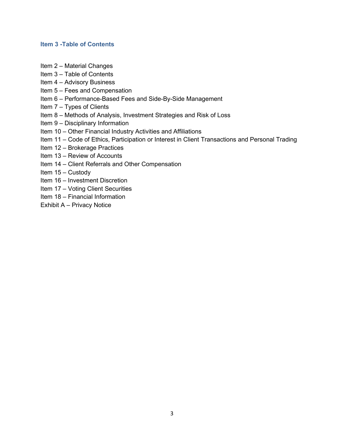#### **Item 3 -Table of Contents**

- Item 2 Material Changes
- Item 3 Table of Contents
- Item 4 Advisory Business
- Item 5 Fees and Compensation
- Item 6 Performance-Based Fees and Side-By-Side Management
- Item 7 Types of Clients
- Item 8 Methods of Analysis, Investment Strategies and Risk of Loss
- Item 9 Disciplinary Information
- Item 10 Other Financial Industry Activities and Affiliations
- Item 11 Code of Ethics, Participation or Interest in Client Transactions and Personal Trading
- Item 12 Brokerage Practices
- Item 13 Review of Accounts
- Item 14 Client Referrals and Other Compensation
- Item 15 Custody
- Item 16 Investment Discretion
- Item 17 Voting Client Securities
- Item 18 Financial Information
- Exhibit A Privacy Notice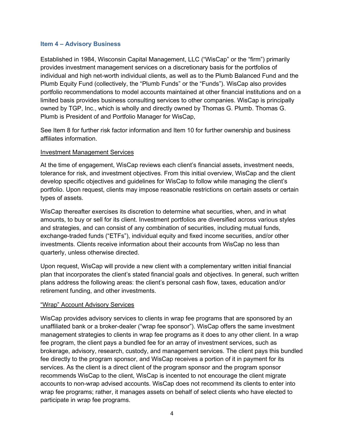#### **Item 4 – Advisory Business**

Established in 1984, Wisconsin Capital Management, LLC ("WisCap" or the "firm") primarily provides investment management services on a discretionary basis for the portfolios of individual and high net-worth individual clients, as well as to the Plumb Balanced Fund and the Plumb Equity Fund (collectively, the "Plumb Funds" or the "Funds"). WisCap also provides portfolio recommendations to model accounts maintained at other financial institutions and on a limited basis provides business consulting services to other companies. WisCap is principally owned by TGP, Inc., which is wholly and directly owned by Thomas G. Plumb. Thomas G. Plumb is President of and Portfolio Manager for WisCap,

See Item 8 for further risk factor information and Item 10 for further ownership and business affiliates information.

#### Investment Management Services

At the time of engagement, WisCap reviews each client's financial assets, investment needs, tolerance for risk, and investment objectives. From this initial overview, WisCap and the client develop specific objectives and guidelines for WisCap to follow while managing the client's portfolio. Upon request, clients may impose reasonable restrictions on certain assets or certain types of assets.

WisCap thereafter exercises its discretion to determine what securities, when, and in what amounts, to buy or sell for its client. Investment portfolios are diversified across various styles and strategies, and can consist of any combination of securities, including mutual funds, exchange-traded funds ("ETFs"), individual equity and fixed income securities, and/or other investments. Clients receive information about their accounts from WisCap no less than quarterly, unless otherwise directed.

Upon request, WisCap will provide a new client with a complementary written initial financial plan that incorporates the client's stated financial goals and objectives. In general, such written plans address the following areas: the client's personal cash flow, taxes, education and/or retirement funding, and other investments.

## "Wrap" Account Advisory Services

WisCap provides advisory services to clients in wrap fee programs that are sponsored by an unaffiliated bank or a broker-dealer ("wrap fee sponsor"). WisCap offers the same investment management strategies to clients in wrap fee programs as it does to any other client. In a wrap fee program, the client pays a bundled fee for an array of investment services, such as brokerage, advisory, research, custody, and management services. The client pays this bundled fee directly to the program sponsor, and WisCap receives a portion of it in payment for its services. As the client is a direct client of the program sponsor and the program sponsor recommends WisCap to the client, WisCap is incented to not encourage the client migrate accounts to non-wrap advised accounts. WisCap does not recommend its clients to enter into wrap fee programs; rather, it manages assets on behalf of select clients who have elected to participate in wrap fee programs.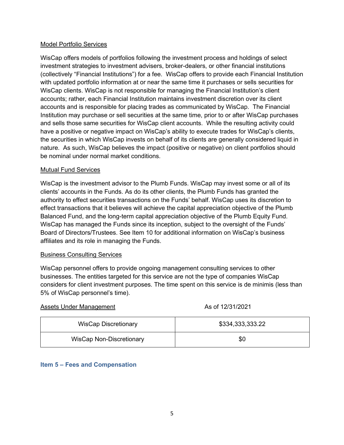## Model Portfolio Services

WisCap offers models of portfolios following the investment process and holdings of select investment strategies to investment advisers, broker-dealers, or other financial institutions (collectively "Financial Institutions") for a fee. WisCap offers to provide each Financial Institution with updated portfolio information at or near the same time it purchases or sells securities for WisCap clients. WisCap is not responsible for managing the Financial Institution's client accounts; rather, each Financial Institution maintains investment discretion over its client accounts and is responsible for placing trades as communicated by WisCap. The Financial Institution may purchase or sell securities at the same time, prior to or after WisCap purchases and sells those same securities for WisCap client accounts. While the resulting activity could have a positive or negative impact on WisCap's ability to execute trades for WisCap's clients, the securities in which WisCap invests on behalf of its clients are generally considered liquid in nature. As such, WisCap believes the impact (positive or negative) on client portfolios should be nominal under normal market conditions.

## Mutual Fund Services

WisCap is the investment advisor to the Plumb Funds. WisCap may invest some or all of its clients' accounts in the Funds. As do its other clients, the Plumb Funds has granted the authority to effect securities transactions on the Funds' behalf. WisCap uses its discretion to effect transactions that it believes will achieve the capital appreciation objective of the Plumb Balanced Fund, and the long-term capital appreciation objective of the Plumb Equity Fund. WisCap has managed the Funds since its inception, subject to the oversight of the Funds' Board of Directors/Trustees. See Item 10 for additional information on WisCap's business affiliates and its role in managing the Funds.

## Business Consulting Services

WisCap personnel offers to provide ongoing management consulting services to other businesses. The entities targeted for this service are not the type of companies WisCap considers for client investment purposes. The time spent on this service is de minimis (less than 5% of WisCap personnel's time).

| Assets Under Management         | As of 12/31/2021 |
|---------------------------------|------------------|
| <b>WisCap Discretionary</b>     | \$334,333,333.22 |
| <b>WisCap Non-Discretionary</b> | \$0              |

## **Item 5 – Fees and Compensation**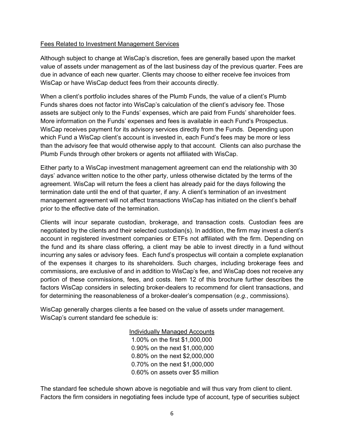#### Fees Related to Investment Management Services

Although subject to change at WisCap's discretion, fees are generally based upon the market value of assets under management as of the last business day of the previous quarter. Fees are due in advance of each new quarter. Clients may choose to either receive fee invoices from WisCap or have WisCap deduct fees from their accounts directly.

When a client's portfolio includes shares of the Plumb Funds, the value of a client's Plumb Funds shares does not factor into WisCap's calculation of the client's advisory fee. Those assets are subject only to the Funds' expenses, which are paid from Funds' shareholder fees. More information on the Funds' expenses and fees is available in each Fund's Prospectus. WisCap receives payment for its advisory services directly from the Funds. Depending upon which Fund a WisCap client's account is invested in, each Fund's fees may be more or less than the advisory fee that would otherwise apply to that account. Clients can also purchase the Plumb Funds through other brokers or agents not affiliated with WisCap.

Either party to a WisCap investment management agreement can end the relationship with 30 days' advance written notice to the other party, unless otherwise dictated by the terms of the agreement. WisCap will return the fees a client has already paid for the days following the termination date until the end of that quarter, if any. A client's termination of an investment management agreement will not affect transactions WisCap has initiated on the client's behalf prior to the effective date of the termination.

Clients will incur separate custodian, brokerage, and transaction costs. Custodian fees are negotiated by the clients and their selected custodian(s). In addition, the firm may invest a client's account in registered investment companies or ETFs not affiliated with the firm. Depending on the fund and its share class offering, a client may be able to invest directly in a fund without incurring any sales or advisory fees. Each fund's prospectus will contain a complete explanation of the expenses it charges to its shareholders. Such charges, including brokerage fees and commissions, are exclusive of and in addition to WisCap's fee, and WisCap does not receive any portion of these commissions, fees, and costs. Item 12 of this brochure further describes the factors WisCap considers in selecting broker-dealers to recommend for client transactions, and for determining the reasonableness of a broker-dealer's compensation (*e.g.*, commissions).

WisCap generally charges clients a fee based on the value of assets under management. WisCap's current standard fee schedule is:

> Individually Managed Accounts 1.00% on the first \$1,000,000 0.90% on the next \$1,000,000 0.80% on the next \$2,000,000 0.70% on the next \$1,000,000 0.60% on assets over \$5 million

The standard fee schedule shown above is negotiable and will thus vary from client to client. Factors the firm considers in negotiating fees include type of account, type of securities subject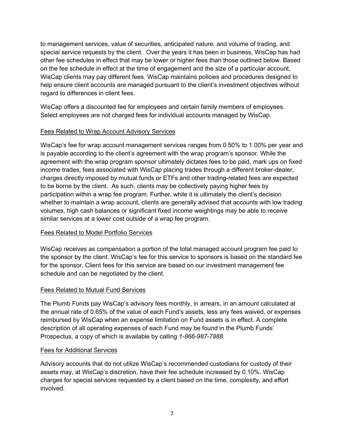to management services, value of securities, anticipated nature, and volume of trading, and special service requests by the client. Over the years it has been in business, WisCap has had other fee schedules in effect that may be lower or higher fees than those outlined below. Based on the fee schedule in effect at the time of engagement and the size of a particular account, WisCap clients may pay different fees. WisCap maintains policies and procedures designed to help ensure client accounts are managed pursuant to the client's investment objectives without regard to differences in client fees.

WisCap offers a discounted fee for employees and certain family members of employees. Select employees are not charged fees for individual accounts managed by WisCap.

## Fees Related to Wrap Account Advisory Services

WisCap's fee for wrap account management services ranges from 0.50% to 1.00% per year and is payable according to the client's agreement with the wrap program's sponsor. While the agreement with the wrap program sponsor ultimately dictates fees to be paid, mark ups on fixed income trades, fees associated with WisCap placing trades through a different broker-dealer, charges directly imposed by mutual funds or ETFs and other trading-related fees are expected to be borne by the client. As such, clients may be collectively paying higher fees by participation within a wrap fee program. Further, while it is ultimately the client's decision whether to maintain a wrap account, clients are generally advised that accounts with low trading volumes, high cash balances or significant fixed income weightings may be able to receive similar services at a lower cost outside of a wrap fee program.

## Fees Related to Model Portfolio Services

WisCap receives as compensation a portion of the total managed account program fee paid to the sponsor by the client. WisCap's fee for this service to sponsors is based on the standard fee for the sponsor. Client fees for this service are based on our investment management fee schedule and can be negotiated by the client.

## Fees Related to Mutual Fund Services

The Plumb Funds pay WisCap's advisory fees monthly, in arrears, in an amount calculated at the annual rate of 0.65% of the value of each Fund's assets, less any fees waived, or expenses reimbursed by WisCap when an expense limitation on Fund assets is in effect. A complete description of all operating expenses of each Fund may be found in the Plumb Funds' Prospectus, a copy of which is available by calling *1-866-987-7888*.

## Fees for Additional Services

Advisory accounts that do not utilize WisCap's recommended custodians for custody of their assets may, at WisCap's discretion, have their fee schedule increased by 0.10%. WisCap charges for special services requested by a client based on the time, complexity, and effort involved.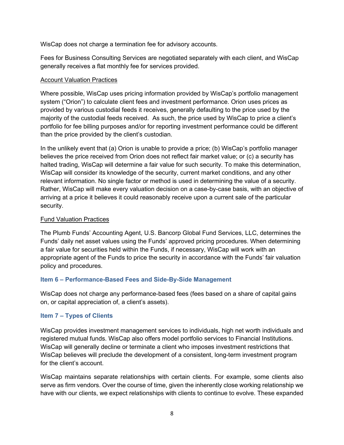WisCap does not charge a termination fee for advisory accounts.

Fees for Business Consulting Services are negotiated separately with each client, and WisCap generally receives a flat monthly fee for services provided.

## Account Valuation Practices

Where possible, WisCap uses pricing information provided by WisCap's portfolio management system ("Orion") to calculate client fees and investment performance. Orion uses prices as provided by various custodial feeds it receives, generally defaulting to the price used by the majority of the custodial feeds received. As such, the price used by WisCap to price a client's portfolio for fee billing purposes and/or for reporting investment performance could be different than the price provided by the client's custodian.

In the unlikely event that (a) Orion is unable to provide a price; (b) WisCap's portfolio manager believes the price received from Orion does not reflect fair market value; or (c) a security has halted trading, WisCap will determine a fair value for such security. To make this determination, WisCap will consider its knowledge of the security, current market conditions, and any other relevant information. No single factor or method is used in determining the value of a security. Rather, WisCap will make every valuation decision on a case-by-case basis, with an objective of arriving at a price it believes it could reasonably receive upon a current sale of the particular security.

## Fund Valuation Practices

The Plumb Funds' Accounting Agent, U.S. Bancorp Global Fund Services, LLC, determines the Funds' daily net asset values using the Funds' approved pricing procedures. When determining a fair value for securities held within the Funds, if necessary, WisCap will work with an appropriate agent of the Funds to price the security in accordance with the Funds' fair valuation policy and procedures.

# **Item 6 – Performance-Based Fees and Side-By-Side Management**

WisCap does not charge any performance-based fees (fees based on a share of capital gains on, or capital appreciation of, a client's assets).

# **Item 7 – Types of Clients**

WisCap provides investment management services to individuals, high net worth individuals and registered mutual funds. WisCap also offers model portfolio services to Financial Institutions. WisCap will generally decline or terminate a client who imposes investment restrictions that WisCap believes will preclude the development of a consistent, long-term investment program for the client's account.

WisCap maintains separate relationships with certain clients. For example, some clients also serve as firm vendors. Over the course of time, given the inherently close working relationship we have with our clients, we expect relationships with clients to continue to evolve. These expanded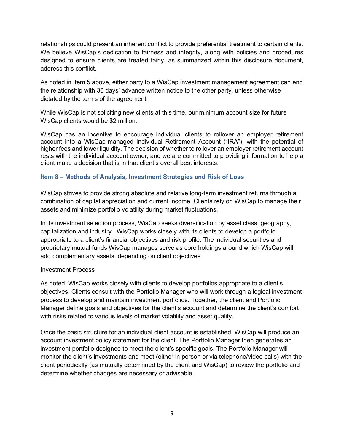relationships could present an inherent conflict to provide preferential treatment to certain clients. We believe WisCap's dedication to fairness and integrity, along with policies and procedures designed to ensure clients are treated fairly, as summarized within this disclosure document, address this conflict.

As noted in Item 5 above, either party to a WisCap investment management agreement can end the relationship with 30 days' advance written notice to the other party, unless otherwise dictated by the terms of the agreement.

While WisCap is not soliciting new clients at this time, our minimum account size for future WisCap clients would be \$2 million.

WisCap has an incentive to encourage individual clients to rollover an employer retirement account into a WisCap-managed Individual Retirement Account ("IRA"), with the potential of higher fees and lower liquidity. The decision of whether to rollover an employer retirement account rests with the individual account owner, and we are committed to providing information to help a client make a decision that is in that client's overall best interests.

## **Item 8 – Methods of Analysis, Investment Strategies and Risk of Loss**

WisCap strives to provide strong absolute and relative long-term investment returns through a combination of capital appreciation and current income. Clients rely on WisCap to manage their assets and minimize portfolio volatility during market fluctuations.

In its investment selection process, WisCap seeks diversification by asset class, geography, capitalization and industry. WisCap works closely with its clients to develop a portfolio appropriate to a client's financial objectives and risk profile. The individual securities and [proprietary mutual funds](http://www.plumbfunds.com/) WisCap manages serve as core holdings around which WisCap will add complementary assets, depending on client objectives.

#### Investment Process

As noted, WisCap works closely with clients to develop portfolios appropriate to a client's objectives. Clients consult with the Portfolio Manager who will work through a logical investment process to develop and maintain investment portfolios. Together, the client and Portfolio Manager define goals and objectives for the client's account and determine the client's comfort with risks related to various levels of market volatility and asset quality.

Once the basic structure for an individual client account is established, WisCap will produce an account investment policy statement for the client. The Portfolio Manager then generates an investment portfolio designed to meet the client's specific goals. The Portfolio Manager will monitor the client's investments and meet (either in person or via telephone/video calls) with the client periodically (as mutually determined by the client and WisCap) to review the portfolio and determine whether changes are necessary or advisable.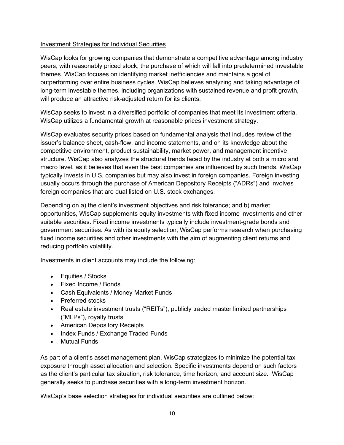## Investment Strategies for Individual Securities

WisCap looks for growing companies that demonstrate a competitive advantage among industry peers, with reasonably priced stock, the purchase of which will fall into predetermined [investable](http://www.svaplumb.com/investment-management-services/investment-process.aspx)  [themes.](http://www.svaplumb.com/investment-management-services/investment-process.aspx) WisCap focuses on identifying market inefficiencies and maintains a goal of outperforming over entire business cycles. WisCap believes analyzing and taking advantage of long-term investable themes, including organizations with sustained revenue and profit growth, will produce an attractive risk-adjusted return for its clients.

WisCap seeks to invest in a diversified portfolio of companies that meet its investment criteria. WisCap utilizes a fundamental growth at reasonable prices investment strategy.

WisCap evaluates security prices based on fundamental analysis that includes review of the issuer's balance sheet, cash-flow, and income statements, and on its knowledge about the competitive environment, product sustainability, market power, and management incentive structure. WisCap also analyzes the structural trends faced by the industry at both a micro and macro level, as it believes that even the best companies are influenced by such trends. WisCap typically invests in U.S. companies but may also invest in foreign companies. Foreign investing usually occurs through the purchase of American Depository Receipts ("ADRs") and involves foreign companies that are dual listed on U.S. stock exchanges.

Depending on a) the client's investment objectives and risk tolerance; and b) market opportunities, WisCap supplements equity investments with fixed income investments and other suitable securities. Fixed income investments typically include investment-grade bonds and government securities. As with its equity selection, WisCap performs research when purchasing fixed income securities and other investments with the aim of augmenting client returns and reducing portfolio volatility.

Investments in client accounts may include the following:

- Equities / Stocks
- Fixed Income / Bonds
- Cash Equivalents / Money Market Funds
- Preferred stocks
- Real estate investment trusts ("REITs"), publicly traded master limited partnerships ("MLPs"), royalty trusts
- American Depository Receipts
- Index Funds / Exchange Traded Funds
- Mutual Funds

As part of a client's asset management plan, WisCap strategizes to minimize the potential tax exposure through asset allocation and selection. Specific [investments](http://www.svaplumb.com/investment-management-services/investments.aspx) depend on such factors as the client's particular tax situation, risk tolerance, time horizon, and account size. WisCap generally seeks to purchase securities with a long-term investment horizon.

WisCap's base selection strategies for individual securities are outlined below: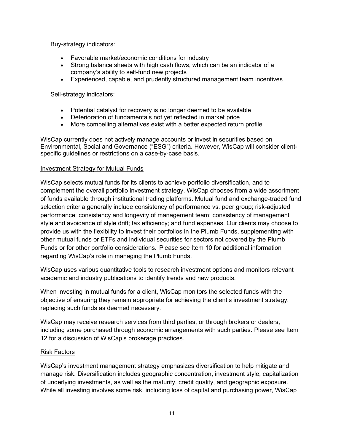Buy-strategy indicators:

- Favorable market/economic conditions for industry
- Strong balance sheets with high cash flows, which can be an indicator of a company's ability to self-fund new projects
- Experienced, capable, and prudently structured management team incentives

Sell-strategy indicators:

- Potential catalyst for recovery is no longer deemed to be available
- Deterioration of fundamentals not yet reflected in market price
- More compelling alternatives exist with a better expected return profile

WisCap currently does not actively manage accounts or invest in securities based on Environmental, Social and Governance ("ESG") criteria. However, WisCap will consider clientspecific guidelines or restrictions on a case-by-case basis.

## Investment Strategy for Mutual Funds

WisCap selects mutual funds for its clients to achieve portfolio diversification, and to complement the overall portfolio investment strategy. WisCap chooses from a wide assortment of funds available through institutional trading platforms. Mutual fund and exchange-traded fund selection criteria generally include consistency of performance vs. peer group; risk-adjusted performance; consistency and longevity of management team; consistency of management style and avoidance of style drift; tax efficiency; and fund expenses. Our clients may choose to provide us with the flexibility to invest their portfolios in the Plumb Funds, supplementing with other mutual funds or ETFs and individual securities for sectors not covered by the Plumb Funds or for other portfolio considerations. Please see Item 10 for additional information regarding WisCap's role in managing the Plumb Funds.

WisCap uses various quantitative tools to research investment options and monitors relevant academic and industry publications to identify trends and new products.

When investing in mutual funds for a client, WisCap monitors the selected funds with the objective of ensuring they remain appropriate for achieving the client's investment strategy, replacing such funds as deemed necessary.

WisCap may receive research services from third parties, or through brokers or dealers, including some purchased through economic arrangements with such parties. Please see Item 12 for a discussion of WisCap's brokerage practices.

## Risk Factors

WisCap's investment management strategy emphasizes diversification to help mitigate and manage risk. Diversification includes geographic concentration, investment style, capitalization of underlying investments, as well as the maturity, credit quality, and geographic exposure. While all investing involves some risk, including loss of capital and purchasing power, WisCap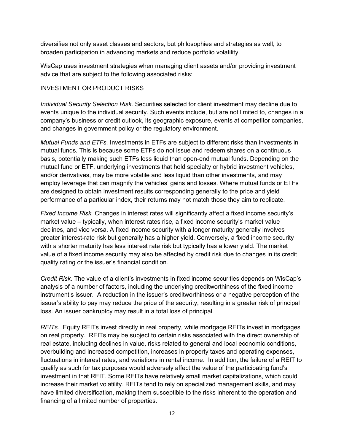diversifies not only asset classes and sectors, but philosophies and strategies as well, to broaden participation in advancing markets and reduce portfolio volatility.

WisCap uses investment strategies when managing client assets and/or providing investment advice that are subject to the following associated risks:

## INVESTMENT OR PRODUCT RISKS

*Individual Security Selection Risk*. Securities selected for client investment may decline due to events unique to the individual security. Such events include, but are not limited to, changes in a company's business or credit outlook, its geographic exposure, events at competitor companies, and changes in government policy or the regulatory environment.

*Mutual Funds and ETFs.* Investments in ETFs are subject to different risks than investments in mutual funds. This is because some ETFs do not issue and redeem shares on a continuous basis, potentially making such ETFs less liquid than open-end mutual funds. Depending on the mutual fund or ETF, underlying investments that hold specialty or hybrid investment vehicles, and/or derivatives, may be more volatile and less liquid than other investments, and may employ leverage that can magnify the vehicles' gains and losses. Where mutual funds or ETFs are designed to obtain investment results corresponding generally to the price and yield performance of a particular index, their returns may not match those they aim to replicate.

*Fixed Income Risk.* Changes in interest rates will significantly affect a fixed income security's market value – typically, when interest rates rise, a fixed income security's market value declines, and vice versa. A fixed income security with a longer maturity generally involves greater interest-rate risk but generally has a higher yield. Conversely, a fixed income security with a shorter maturity has less interest rate risk but typically has a lower yield. The market value of a fixed income security may also be affected by credit risk due to changes in its credit quality rating or the issuer's financial condition.

*Credit Risk.* The value of a client's investments in fixed income securities depends on WisCap's analysis of a number of factors, including the underlying creditworthiness of the fixed income instrument's issuer. A reduction in the issuer's creditworthiness or a negative perception of the issuer's ability to pay may reduce the price of the security, resulting in a greater risk of principal loss. An issuer bankruptcy may result in a total loss of principal.

*REITs.* Equity REITs invest directly in real property, while mortgage REITs invest in mortgages on real property. REITs may be subject to certain risks associated with the direct ownership of real estate, including declines in value, risks related to general and local economic conditions, overbuilding and increased competition, increases in property taxes and operating expenses, fluctuations in interest rates, and variations in rental income. In addition, the failure of a REIT to qualify as such for tax purposes would adversely affect the value of the participating fund's investment in that REIT. Some REITs have relatively small market capitalizations, which could increase their market volatility. REITs tend to rely on specialized management skills, and may have limited diversification, making them susceptible to the risks inherent to the operation and financing of a limited number of properties.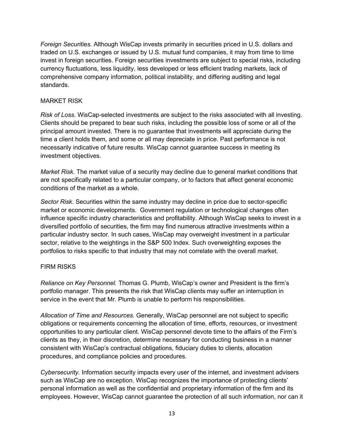*Foreign Securities.* Although WisCap invests primarily in securities priced in U.S. dollars and traded on U.S. exchanges or issued by U.S. mutual fund companies, it may from time to time invest in foreign securities. Foreign securities investments are subject to special risks, including currency fluctuations, less liquidity, less developed or less efficient trading markets, lack of comprehensive company information, political instability, and differing auditing and legal standards.

## MARKET RISK

*Risk of Loss*. WisCap-selected investments are subject to the risks associated with all investing. Clients should be prepared to bear such risks, including the possible loss of some or all of the principal amount invested. There is no guarantee that investments will appreciate during the time a client holds them, and some or all may depreciate in price. Past performance is not necessarily indicative of future results. WisCap cannot guarantee success in meeting its investment objectives.

*Market Risk.* The market value of a security may decline due to general market conditions that are not specifically related to a particular company, or to factors that affect general economic conditions of the market as a whole.

*Sector Risk*. Securities within the same industry may decline in price due to sector-specific market or economic developments. Government regulation or technological changes often influence specific industry characteristics and profitability. Although WisCap seeks to invest in a diversified portfolio of securities, the firm may find numerous attractive investments within a particular industry sector. In such cases, WisCap may overweight investment in a particular sector, relative to the weightings in the S&P 500 Index. Such overweighting exposes the portfolios to risks specific to that industry that may not correlate with the overall market.

## FIRM RISKS

*Reliance on Key Personnel.* Thomas G. Plumb, WisCap's owner and President is the firm's portfolio manager. This presents the risk that WisCap clients may suffer an interruption in service in the event that Mr. Plumb is unable to perform his responsibilities.

*Allocation of Time and Resources.* Generally, WisCap personnel are not subject to specific obligations or requirements concerning the allocation of time, efforts, resources, or investment opportunities to any particular client. WisCap personnel devote time to the affairs of the Firm's clients as they, in their discretion, determine necessary for conducting business in a manner consistent with WisCap's contractual obligations, fiduciary duties to clients, allocation procedures, and compliance policies and procedures.

*Cybersecurity.* Information security impacts every user of the internet, and investment advisers such as WisCap are no exception. WisCap recognizes the importance of protecting clients' personal information as well as the confidential and proprietary information of the firm and its employees. However, WisCap cannot guarantee the protection of all such information, nor can it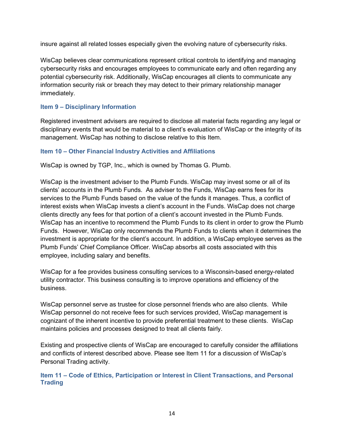insure against all related losses especially given the evolving nature of cybersecurity risks.

WisCap believes clear communications represent critical controls to identifying and managing cybersecurity risks and encourages employees to communicate early and often regarding any potential cybersecurity risk. Additionally, WisCap encourages all clients to communicate any information security risk or breach they may detect to their primary relationship manager immediately.

# **Item 9 – Disciplinary Information**

Registered investment advisers are required to disclose all material facts regarding any legal or disciplinary events that would be material to a client's evaluation of WisCap or the integrity of its management. WisCap has nothing to disclose relative to this Item.

# **Item 10 – Other Financial Industry Activities and Affiliations**

WisCap is owned by TGP, Inc., which is owned by Thomas G. Plumb.

WisCap is the investment adviser to the Plumb Funds. WisCap may invest some or all of its clients' accounts in the Plumb Funds. As adviser to the Funds, WisCap earns fees for its services to the Plumb Funds based on the value of the funds it manages. Thus, a conflict of interest exists when WisCap invests a client's account in the Funds. WisCap does not charge clients directly any fees for that portion of a client's account invested in the Plumb Funds. WisCap has an incentive to recommend the Plumb Funds to its client in order to grow the Plumb Funds. However, WisCap only recommends the Plumb Funds to clients when it determines the investment is appropriate for the client's account. In addition, a WisCap employee serves as the Plumb Funds' Chief Compliance Officer. WisCap absorbs all costs associated with this employee, including salary and benefits.

WisCap for a fee provides business consulting services to a Wisconsin-based energy-related utility contractor. This business consulting is to improve operations and efficiency of the business.

WisCap personnel serve as trustee for close personnel friends who are also clients. While WisCap personnel do not receive fees for such services provided, WisCap management is cognizant of the inherent incentive to provide preferential treatment to these clients. WisCap maintains policies and processes designed to treat all clients fairly.

Existing and prospective clients of WisCap are encouraged to carefully consider the affiliations and conflicts of interest described above. Please see Item 11 for a discussion of WisCap's Personal Trading activity.

**Item 11 – Code of Ethics, Participation or Interest in Client Transactions, and Personal Trading**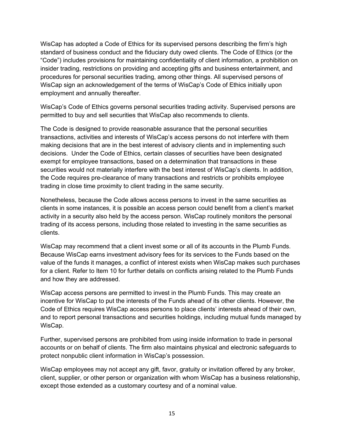WisCap has adopted a Code of Ethics for its supervised persons describing the firm's high standard of business conduct and the fiduciary duty owed clients. The Code of Ethics (or the "Code") includes provisions for maintaining confidentiality of client information, a prohibition on insider trading, restrictions on providing and accepting gifts and business entertainment, and procedures for personal securities trading, among other things. All supervised persons of WisCap sign an acknowledgement of the terms of WisCap's Code of Ethics initially upon employment and annually thereafter.

WisCap's Code of Ethics governs personal securities trading activity. Supervised persons are permitted to buy and sell securities that WisCap also recommends to clients.

The Code is designed to provide reasonable assurance that the personal securities transactions, activities and interests of WisCap's access persons do not interfere with them making decisions that are in the best interest of advisory clients and in implementing such decisions. Under the Code of Ethics, certain classes of securities have been designated exempt for employee transactions, based on a determination that transactions in these securities would not materially interfere with the best interest of WisCap's clients. In addition, the Code requires pre-clearance of many transactions and restricts or prohibits employee trading in close time proximity to client trading in the same security.

Nonetheless, because the Code allows access persons to invest in the same securities as clients in some instances, it is possible an access person could benefit from a client's market activity in a security also held by the access person. WisCap routinely monitors the personal trading of its access persons, including those related to investing in the same securities as clients.

WisCap may recommend that a client invest some or all of its accounts in the Plumb Funds. Because WisCap earns investment advisory fees for its services to the Funds based on the value of the funds it manages, a conflict of interest exists when WisCap makes such purchases for a client. Refer to Item 10 for further details on conflicts arising related to the Plumb Funds and how they are addressed.

WisCap access persons are permitted to invest in the Plumb Funds. This may create an incentive for WisCap to put the interests of the Funds ahead of its other clients. However, the Code of Ethics requires WisCap access persons to place clients' interests ahead of their own, and to report personal transactions and securities holdings, including mutual funds managed by WisCap.

Further, supervised persons are prohibited from using inside information to trade in personal accounts or on behalf of clients. The firm also maintains physical and electronic safeguards to protect nonpublic client information in WisCap's possession.

WisCap employees may not accept any gift, favor, gratuity or invitation offered by any broker, client, supplier, or other person or organization with whom WisCap has a business relationship, except those extended as a customary courtesy and of a nominal value.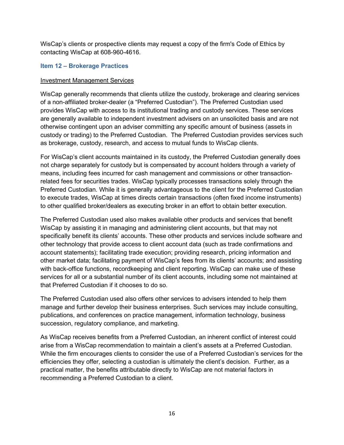WisCap's clients or prospective clients may request a copy of the firm's Code of Ethics by contacting WisCap at 608-960-4616.

## **Item 12 – Brokerage Practices**

#### Investment Management Services

WisCap generally recommends that clients utilize the custody, brokerage and clearing services of a non-affiliated broker-dealer (a "Preferred Custodian"). The Preferred Custodian used provides WisCap with access to its institutional trading and custody services. These services are generally available to independent investment advisers on an unsolicited basis and are not otherwise contingent upon an adviser committing any specific amount of business (assets in custody or trading) to the Preferred Custodian. The Preferred Custodian provides services such as brokerage, custody, research, and access to mutual funds to WisCap clients.

For WisCap's client accounts maintained in its custody, the Preferred Custodian generally does not charge separately for custody but is compensated by account holders through a variety of means, including fees incurred for cash management and commissions or other transactionrelated fees for securities trades. WisCap typically processes transactions solely through the Preferred Custodian. While it is generally advantageous to the client for the Preferred Custodian to execute trades, WisCap at times directs certain transactions (often fixed income instruments) to other qualified broker/dealers as executing broker in an effort to obtain better execution.

The Preferred Custodian used also makes available other products and services that benefit WisCap by assisting it in managing and administering client accounts, but that may not specifically benefit its clients' accounts. These other products and services include software and other technology that provide access to client account data (such as trade confirmations and account statements); facilitating trade execution; providing research, pricing information and other market data; facilitating payment of WisCap's fees from its clients' accounts; and assisting with back-office functions, recordkeeping and client reporting. WisCap can make use of these services for all or a substantial number of its client accounts, including some not maintained at that Preferred Custodian if it chooses to do so.

The Preferred Custodian used also offers other services to advisers intended to help them manage and further develop their business enterprises. Such services may include consulting, publications, and conferences on practice management, information technology, business succession, regulatory compliance, and marketing.

As WisCap receives benefits from a Preferred Custodian, an inherent conflict of interest could arise from a WisCap recommendation to maintain a client's assets at a Preferred Custodian. While the firm encourages clients to consider the use of a Preferred Custodian's services for the efficiencies they offer, selecting a custodian is ultimately the client's decision. Further, as a practical matter, the benefits attributable directly to WisCap are not material factors in recommending a Preferred Custodian to a client.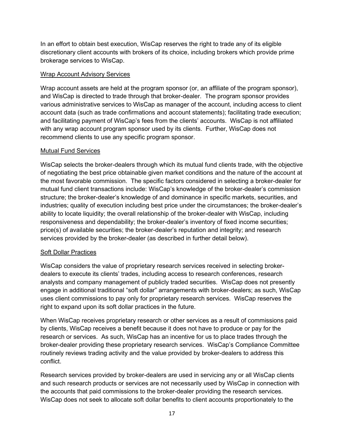In an effort to obtain best execution, WisCap reserves the right to trade any of its eligible discretionary client accounts with brokers of its choice, including brokers which provide prime brokerage services to WisCap.

## Wrap Account Advisory Services

Wrap account assets are held at the program sponsor (or, an affiliate of the program sponsor), and WisCap is directed to trade through that broker-dealer. The program sponsor provides various administrative services to WisCap as manager of the account, including access to client account data (such as trade confirmations and account statements); facilitating trade execution; and facilitating payment of WisCap's fees from the clients' accounts. WisCap is not affiliated with any wrap account program sponsor used by its clients. Further, WisCap does not recommend clients to use any specific program sponsor.

# Mutual Fund Services

WisCap selects the broker-dealers through which its mutual fund clients trade, with the objective of negotiating the best price obtainable given market conditions and the nature of the account at the most favorable commission. The specific factors considered in selecting a broker-dealer for mutual fund client transactions include: WisCap's knowledge of the broker-dealer's commission structure; the broker-dealer's knowledge of and dominance in specific markets, securities, and industries; quality of execution including best price under the circumstances; the broker-dealer's ability to locate liquidity; the overall relationship of the broker-dealer with WisCap, including responsiveness and dependability; the broker-dealer's inventory of fixed income securities; price(s) of available securities; the broker-dealer's reputation and integrity; and research services provided by the broker-dealer (as described in further detail below).

# Soft Dollar Practices

WisCap considers the value of proprietary research services received in selecting brokerdealers to execute its clients' trades, including access to research conferences, research analysts and company management of publicly traded securities. WisCap does not presently engage in additional traditional "soft dollar" arrangements with broker-dealers; as such, WisCap uses client commissions to pay only for proprietary research services. WisCap reserves the right to expand upon its soft dollar practices in the future.

When WisCap receives proprietary research or other services as a result of commissions paid by clients, WisCap receives a benefit because it does not have to produce or pay for the research or services. As such, WisCap has an incentive for us to place trades through the broker-dealer providing these proprietary research services. WisCap's Compliance Committee routinely reviews trading activity and the value provided by broker-dealers to address this conflict.

Research services provided by broker-dealers are used in servicing any or all WisCap clients and such research products or services are not necessarily used by WisCap in connection with the accounts that paid commissions to the broker-dealer providing the research services. WisCap does not seek to allocate soft dollar benefits to client accounts proportionately to the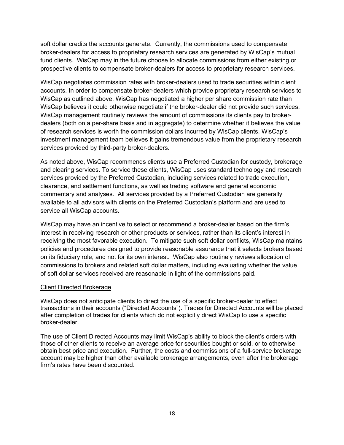soft dollar credits the accounts generate. Currently, the commissions used to compensate broker-dealers for access to proprietary research services are generated by WisCap's mutual fund clients. WisCap may in the future choose to allocate commissions from either existing or prospective clients to compensate broker-dealers for access to proprietary research services.

WisCap negotiates commission rates with broker-dealers used to trade securities within client accounts. In order to compensate broker-dealers which provide proprietary research services to WisCap as outlined above, WisCap has negotiated a higher per share commission rate than WisCap believes it could otherwise negotiate if the broker-dealer did not provide such services. WisCap management routinely reviews the amount of commissions its clients pay to brokerdealers (both on a per-share basis and in aggregate) to determine whether it believes the value of research services is worth the commission dollars incurred by WisCap clients. WisCap's investment management team believes it gains tremendous value from the proprietary research services provided by third-party broker-dealers.

As noted above, WisCap recommends clients use a Preferred Custodian for custody, brokerage and clearing services. To service these clients, WisCap uses standard technology and research services provided by the Preferred Custodian, including services related to trade execution, clearance, and settlement functions, as well as trading software and general economic commentary and analyses. All services provided by a Preferred Custodian are generally available to all advisors with clients on the Preferred Custodian's platform and are used to service all WisCap accounts.

WisCap may have an incentive to select or recommend a broker-dealer based on the firm's interest in receiving research or other products or services, rather than its client's interest in receiving the most favorable execution. To mitigate such soft dollar conflicts, WisCap maintains policies and procedures designed to provide reasonable assurance that it selects brokers based on its fiduciary role, and not for its own interest. WisCap also routinely reviews allocation of commissions to brokers and related soft dollar matters, including evaluating whether the value of soft dollar services received are reasonable in light of the commissions paid.

## Client Directed Brokerage

WisCap does not anticipate clients to direct the use of a specific broker-dealer to effect transactions in their accounts ("Directed Accounts"). Trades for Directed Accounts will be placed after completion of trades for clients which do not explicitly direct WisCap to use a specific broker-dealer.

The use of Client Directed Accounts may limit WisCap's ability to block the client's orders with those of other clients to receive an average price for securities bought or sold, or to otherwise obtain best price and execution. Further, the costs and commissions of a full-service brokerage account may be higher than other available brokerage arrangements, even after the brokerage firm's rates have been discounted.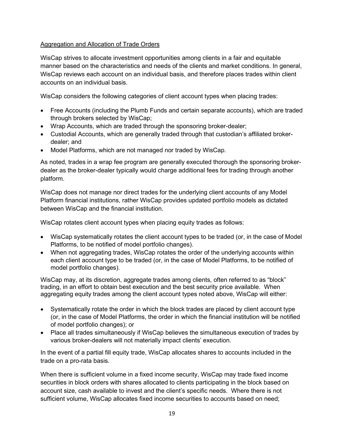# Aggregation and Allocation of Trade Orders

WisCap strives to allocate investment opportunities among clients in a fair and equitable manner based on the characteristics and needs of the clients and market conditions. In general, WisCap reviews each account on an individual basis, and therefore places trades within client accounts on an individual basis.

WisCap considers the following categories of client account types when placing trades:

- Free Accounts (including the Plumb Funds and certain separate accounts), which are traded through brokers selected by WisCap;
- Wrap Accounts, which are traded through the sponsoring broker-dealer;
- Custodial Accounts, which are generally traded through that custodian's affiliated brokerdealer; and
- Model Platforms, which are not managed nor traded by WisCap.

As noted, trades in a wrap fee program are generally executed thorough the sponsoring brokerdealer as the broker-dealer typically would charge additional fees for trading through another platform.

WisCap does not manage nor direct trades for the underlying client accounts of any Model Platform financial institutions, rather WisCap provides updated portfolio models as dictated between WisCap and the financial institution.

WisCap rotates client account types when placing equity trades as follows:

- WisCap systematically rotates the client account types to be traded (or, in the case of Model Platforms, to be notified of model portfolio changes).
- When not aggregating trades, WisCap rotates the order of the underlying accounts within each client account type to be traded (or, in the case of Model Platforms, to be notified of model portfolio changes).

WisCap may, at its discretion, aggregate trades among clients, often referred to as "block" trading, in an effort to obtain best execution and the best security price available. When aggregating equity trades among the client account types noted above, WisCap will either:

- Systematically rotate the order in which the block trades are placed by client account type (or, in the case of Model Platforms, the order in which the financial institution will be notified of model portfolio changes); or
- Place all trades simultaneously if WisCap believes the simultaneous execution of trades by various broker-dealers will not materially impact clients' execution.

In the event of a partial fill equity trade, WisCap allocates shares to accounts included in the trade on a pro-rata basis.

When there is sufficient volume in a fixed income security, WisCap may trade fixed income securities in block orders with shares allocated to clients participating in the block based on account size, cash available to invest and the client's specific needs. Where there is not sufficient volume, WisCap allocates fixed income securities to accounts based on need;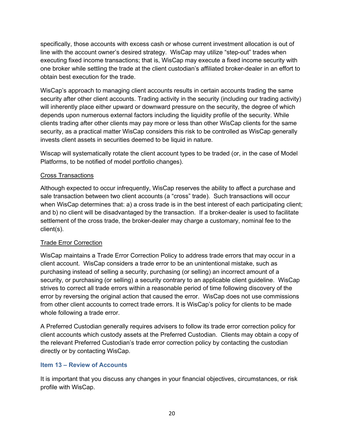specifically, those accounts with excess cash or whose current investment allocation is out of line with the account owner's desired strategy. WisCap may utilize "step-out" trades when executing fixed income transactions; that is, WisCap may execute a fixed income security with one broker while settling the trade at the client custodian's affiliated broker-dealer in an effort to obtain best execution for the trade.

WisCap's approach to managing client accounts results in certain accounts trading the same security after other client accounts. Trading activity in the security (including our trading activity) will inherently place either upward or downward pressure on the security, the degree of which depends upon numerous external factors including the liquidity profile of the security. While clients trading after other clients may pay more or less than other WisCap clients for the same security, as a practical matter WisCap considers this risk to be controlled as WisCap generally invests client assets in securities deemed to be liquid in nature.

Wiscap will systematically rotate the client account types to be traded (or, in the case of Model Platforms, to be notified of model portfolio changes).

# Cross Transactions

Although expected to occur infrequently, WisCap reserves the ability to affect a purchase and sale transaction between two client accounts (a "cross" trade). Such transactions will occur when WisCap determines that: a) a cross trade is in the best interest of each participating client; and b) no client will be disadvantaged by the transaction. If a broker-dealer is used to facilitate settlement of the cross trade, the broker-dealer may charge a customary, nominal fee to the client(s).

# Trade Error Correction

WisCap maintains a Trade Error Correction Policy to address trade errors that may occur in a client account. WisCap considers a trade error to be an unintentional mistake, such as purchasing instead of selling a security, purchasing (or selling) an incorrect amount of a security, or purchasing (or selling) a security contrary to an applicable client guideline. WisCap strives to correct all trade errors within a reasonable period of time following discovery of the error by reversing the original action that caused the error. WisCap does not use commissions from other client accounts to correct trade errors. It is WisCap's policy for clients to be made whole following a trade error.

A Preferred Custodian generally requires advisers to follow its trade error correction policy for client accounts which custody assets at the Preferred Custodian. Clients may obtain a copy of the relevant Preferred Custodian's trade error correction policy by contacting the custodian directly or by contacting WisCap.

# **Item 13 – Review of Accounts**

It is important that you discuss any changes in your financial objectives, circumstances, or risk profile with WisCap.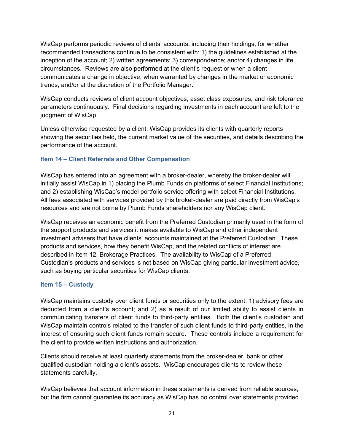WisCap performs periodic reviews of clients' accounts, including their holdings, for whether recommended transactions continue to be consistent with: 1) the guidelines established at the inception of the account; 2) written agreements; 3) correspondence; and/or 4) changes in life circumstances. Reviews are also performed at the client's request or when a client communicates a change in objective, when warranted by changes in the market or economic trends, and/or at the discretion of the Portfolio Manager.

WisCap conducts reviews of client account objectives, asset class exposures, and risk tolerance parameters continuously. Final decisions regarding investments in each account are left to the judgment of WisCap.

Unless otherwise requested by a client, WisCap provides its clients with quarterly reports showing the securities held, the current market value of the securities, and details describing the performance of the account.

# **Item 14 – Client Referrals and Other Compensation**

WisCap has entered into an agreement with a broker-dealer, whereby the broker-dealer will initially assist WisCap in 1) placing the Plumb Funds on platforms of select Financial Institutions; and 2) establishing WisCap's model portfolio service offering with select Financial Institutions. All fees associated with services provided by this broker-dealer are paid directly from WisCap's resources and are not borne by Plumb Funds shareholders nor any WisCap client.

WisCap receives an economic benefit from the Preferred Custodian primarily used in the form of the support products and services it makes available to WisCap and other independent investment advisers that have clients' accounts maintained at the Preferred Custodian. These products and services, how they benefit WisCap, and the related conflicts of interest are described in Item 12, Brokerage Practices. The availability to WisCap of a Preferred Custodian's products and services is not based on WisCap giving particular investment advice, such as buying particular securities for WisCap clients.

# **Item 15 – Custody**

WisCap maintains custody over client funds or securities only to the extent: 1) advisory fees are deducted from a client's account; and 2) as a result of our limited ability to assist clients in communicating transfers of client funds to third-party entities. Both the client's custodian and WisCap maintain controls related to the transfer of such client funds to third-party entities, in the interest of ensuring such client funds remain secure. These controls include a requirement for the client to provide written instructions and authorization.

Clients should receive at least quarterly statements from the broker-dealer, bank or other qualified custodian holding a client's assets. WisCap encourages clients to review these statements carefully.

WisCap believes that account information in these statements is derived from reliable sources, but the firm cannot guarantee its accuracy as WisCap has no control over statements provided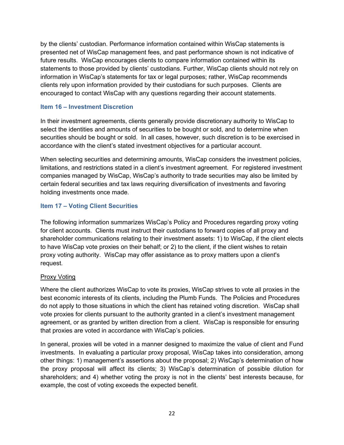by the clients' custodian. Performance information contained within WisCap statements is presented net of WisCap management fees, and past performance shown is not indicative of future results. WisCap encourages clients to compare information contained within its statements to those provided by clients' custodians. Further, WisCap clients should not rely on information in WisCap's statements for tax or legal purposes; rather, WisCap recommends clients rely upon information provided by their custodians for such purposes. Clients are encouraged to contact WisCap with any questions regarding their account statements.

## **Item 16 – Investment Discretion**

In their investment agreements, clients generally provide discretionary authority to WisCap to select the identities and amounts of securities to be bought or sold, and to determine when securities should be bought or sold. In all cases, however, such discretion is to be exercised in accordance with the client's stated investment objectives for a particular account.

When selecting securities and determining amounts, WisCap considers the investment policies, limitations, and restrictions stated in a client's investment agreement. For registered investment companies managed by WisCap, WisCap's authority to trade securities may also be limited by certain federal securities and tax laws requiring diversification of investments and favoring holding investments once made.

## **Item 17 – Voting Client Securities**

The following information summarizes WisCap's Policy and Procedures regarding proxy voting for client accounts. Clients must instruct their custodians to forward copies of all proxy and shareholder communications relating to their investment assets: 1) to WisCap, if the client elects to have WisCap vote proxies on their behalf; or 2) to the client, if the client wishes to retain proxy voting authority. WisCap may offer assistance as to proxy matters upon a client's request.

## Proxy Voting

Where the client authorizes WisCap to vote its proxies, WisCap strives to vote all proxies in the best economic interests of its clients, including the Plumb Funds. The Policies and Procedures do not apply to those situations in which the client has retained voting discretion. WisCap shall vote proxies for clients pursuant to the authority granted in a client's investment management agreement, or as granted by written direction from a client. WisCap is responsible for ensuring that proxies are voted in accordance with WisCap's policies.

In general, proxies will be voted in a manner designed to maximize the value of client and Fund investments. In evaluating a particular proxy proposal, WisCap takes into consideration, among other things: 1) management's assertions about the proposal; 2) WisCap's determination of how the proxy proposal will affect its clients; 3) WisCap's determination of possible dilution for shareholders; and 4) whether voting the proxy is not in the clients' best interests because, for example, the cost of voting exceeds the expected benefit.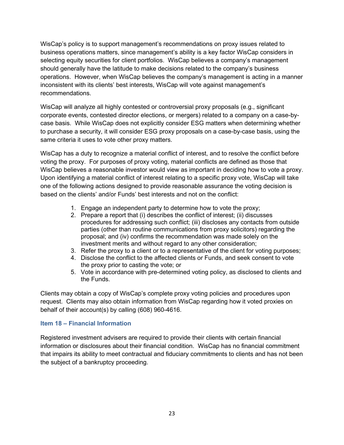WisCap's policy is to support management's recommendations on proxy issues related to business operations matters, since management's ability is a key factor WisCap considers in selecting equity securities for client portfolios. WisCap believes a company's management should generally have the latitude to make decisions related to the company's business operations. However, when WisCap believes the company's management is acting in a manner inconsistent with its clients' best interests, WisCap will vote against management's recommendations.

WisCap will analyze all highly contested or controversial proxy proposals (e.g., significant corporate events, contested director elections, or mergers) related to a company on a case-bycase basis. While WisCap does not explicitly consider ESG matters when determining whether to purchase a security, it will consider ESG proxy proposals on a case-by-case basis, using the same criteria it uses to vote other proxy matters.

WisCap has a duty to recognize a material conflict of interest, and to resolve the conflict before voting the proxy. For purposes of proxy voting, material conflicts are defined as those that WisCap believes a reasonable investor would view as important in deciding how to vote a proxy. Upon identifying a material conflict of interest relating to a specific proxy vote, WisCap will take one of the following actions designed to provide reasonable assurance the voting decision is based on the clients' and/or Funds' best interests and not on the conflict:

- 1. Engage an independent party to determine how to vote the proxy;
- 2. Prepare a report that (i) describes the conflict of interest; (ii) discusses procedures for addressing such conflict; (iii) discloses any contacts from outside parties (other than routine communications from proxy solicitors) regarding the proposal; and (iv) confirms the recommendation was made solely on the investment merits and without regard to any other consideration;
- 3. Refer the proxy to a client or to a representative of the client for voting purposes;
- 4. Disclose the conflict to the affected clients or Funds, and seek consent to vote the proxy prior to casting the vote; or
- 5. Vote in accordance with pre-determined voting policy, as disclosed to clients and the Funds.

Clients may obtain a copy of WisCap's complete proxy voting policies and procedures upon request. Clients may also obtain information from WisCap regarding how it voted proxies on behalf of their account(s) by calling (608) 960-4616.

## **Item 18 – Financial Information**

Registered investment advisers are required to provide their clients with certain financial information or disclosures about their financial condition. WisCap has no financial commitment that impairs its ability to meet contractual and fiduciary commitments to clients and has not been the subject of a bankruptcy proceeding.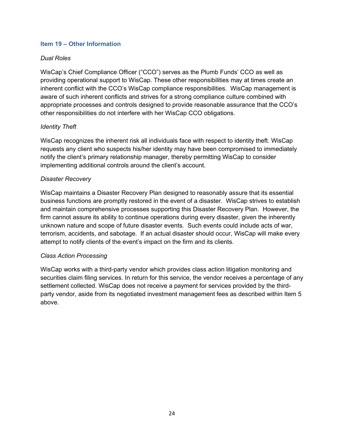#### **Item 19 – Other Information**

## *Dual Roles*

WisCap's Chief Compliance Officer ("CCO") serves as the Plumb Funds' CCO as well as providing operational support to WisCap. These other responsibilities may at times create an inherent conflict with the CCO's WisCap compliance responsibilities. WisCap management is aware of such inherent conflicts and strives for a strong compliance culture combined with appropriate processes and controls designed to provide reasonable assurance that the CCO's other responsibilities do not interfere with her WisCap CCO obligations.

## *Identity Theft*

WisCap recognizes the inherent risk all individuals face with respect to identity theft. WisCap requests any client who suspects his/her identity may have been compromised to immediately notify the client's primary relationship manager, thereby permitting WisCap to consider implementing additional controls around the client's account.

#### *Disaster Recovery*

WisCap maintains a Disaster Recovery Plan designed to reasonably assure that its essential business functions are promptly restored in the event of a disaster. WisCap strives to establish and maintain comprehensive processes supporting this Disaster Recovery Plan. However, the firm cannot assure its ability to continue operations during every disaster, given the inherently unknown nature and scope of future disaster events. Such events could include acts of war, terrorism, accidents, and sabotage. If an actual disaster should occur, WisCap will make every attempt to notify clients of the event's impact on the firm and its clients.

#### *Class Action Processing*

WisCap works with a third-party vendor which provides class action litigation monitoring and securities claim filing services. In return for this service, the vendor receives a percentage of any settlement collected. WisCap does not receive a payment for services provided by the thirdparty vendor, aside from its negotiated investment management fees as described within Item 5 above.